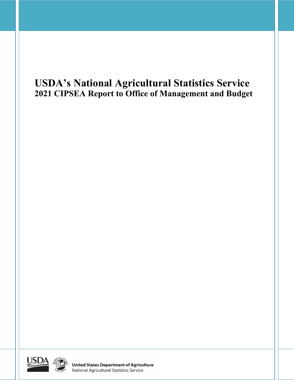# **USDA's National Agricultural Statistics Service 2021 CIPSEA Report to Office of Management and Budget**



**United States Department of Agriculture**<br>National Agricultural Statistics Service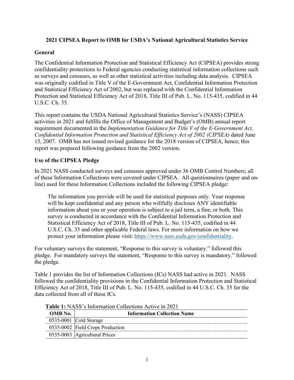## **2021 CIPSEA Report to OMB for USDA's National Agricultural Statistics Service**

## **General**

The Confidential Information Protection and Statistical Efficiency Act (CIPSEA) provides strong confidentiality protections to Federal agencies conducting statistical information collections such as surveys and censuses, as well as other statistical activities including data analysis. CIPSEA was originally codified in Title V of the E-Government Act, Confidential Information Protection and Statistical Efficiency Act of 2002, but was replaced with the Confidential Information Protection and Statistical Efficiency Act of 2018, Title III of Pub. L. No. 115-435, codified in 44 U.S.C. Ch. 35.

This report contains the USDA National Agricultural Statistics Service's (NASS) CIPSEA activities in 2021 and fulfills the Office of Management and Budget's (OMB) annual report requirement documented in the *Implementation Guidance for Title V of the E-Government Act, Confidential Information Protection and Statistical Efficiency Act of 2002 (CIPSEA)* dated June 15, 2007. OMB has not issued revised guidance for the 2018 version of CIPSEA, hence, this report was prepared following guidance from the 2002 version.

## **Use of the CIPSEA Pledge**

In 2021 NASS conducted surveys and censuses approved under 36 OMB Control Numbers; all of these Information Collections were covered under CIPSEA. All questionnaires (paper and online) used for these Information Collections included the following CIPSEA pledge:

The information you provide will be used for statistical purposes only. Your response will be kept confidential and any person who willfully discloses ANY identifiable information about you or your operation is subject to a jail term, a fine, or both. This survey is conducted in accordance with the Confidential Information Protection and Statistical Efficiency Act of 2018, Title III of Pub. L. No. 115-435, codified in 44 U.S.C. Ch. 35 and other applicable Federal laws. For more information on how we protect your information please visit: [https://www.nass.usda.gov/confidentiality.](https://www.nass.usda.gov/confidentiality)

For voluntary surveys the statement, "Response to this survey is voluntary." followed this pledge. For mandatory surveys the statement, "Response to this survey is mandatory." followed the pledge.

Table 1 provides the list of Information Collections (ICs) NASS had active in 2021. NASS followed the confidentiality provisions in the Confidential Information Protection and Statistical Efficiency Act of 2018, Title III of Pub. L. No. 115-435, codified in 44 U.S.C. Ch. 35 for the data collected from all of these ICs*.*

| OMB No. | <b>Information Collection Name</b> |
|---------|------------------------------------|
|         | $0535-0001$ Cold Storage           |
|         | 0535-0002 Field Crops Production   |
|         | 0535-0003   Agricultural Prices    |

**Table 1:** NASS's Information Collections Active in 2021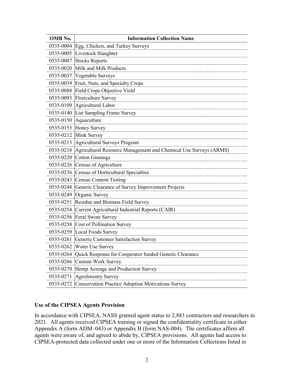| OMB No.   | <b>Information Collection Name</b>                               |
|-----------|------------------------------------------------------------------|
| 0535-0004 | Egg, Chicken, and Turkey Surveys                                 |
| 0535-0005 | Livestock Slaughter                                              |
| 0535-0007 | <b>Stocks Reports</b>                                            |
| 0535-0020 | Milk and Milk Products                                           |
| 0535-0037 | Vegetable Surveys                                                |
| 0535-0039 | Fruit, Nuts, and Specialty Crops                                 |
| 0535-0088 | Field Crops Objective Yield                                      |
| 0535-0093 | Floriculture Survey                                              |
|           | 0535-0109 Agricultural Labor                                     |
| 0535-0140 | List Sampling Frame Survey                                       |
| 0535-0150 | Aquaculture                                                      |
| 0535-0153 | Honey Survey                                                     |
| 0535-0212 | Mink Survey                                                      |
| 0535-0213 | Agricultural Surveys Program                                     |
| 0535-0218 | Agricultural Resource Management and Chemical Use Surveys (ARMS) |
| 0535-0220 | <b>Cotton Ginnings</b>                                           |
|           | 0535-0226 Census of Agriculture                                  |
|           | 0535-0236 Census of Horticultural Specialties                    |
|           | 0535-0243 Census Content Testing                                 |
|           | 0535-0248 Generic Clearance of Survey Improvement Projects       |
| 0535-0249 | Organic Survey                                                   |
| 0535-0251 | Residue and Biomass Field Survey                                 |
| 0535-0254 | Current Agricultural Industrial Reports (CAIR)                   |
| 0535-0256 | Feral Swine Survey                                               |
| 0535-0258 | Cost of Pollination Survey                                       |
|           | 0535-0259 Local Foods Survey                                     |
| 0535-0261 | Generic Customer Satisfaction Survey                             |
|           | 0535-0262 Water Use Survey                                       |
|           | 0535-0264 Quick Response for Cooperator funded Generic Clearance |
|           | 0535-0266 Custom Work Survey                                     |
|           | 0535-0270 Hemp Acreage and Production Survey                     |
|           | 0535-0271 Agroforestry Survey                                    |
| 0535-0272 | Conservation Practice Adoption Motivations Survey                |

## **Use of the CIPSEA Agents Provision**

In accordance with CIPSEA, NASS granted agent status to 2,883 contractors and researchers in 2021. All agents received CIPSEA training or signed the confidentiality certificate in either Appendix A (form ADM–043) or Appendix B (form NAS-004). The certificates affirm all agents were aware of, and agreed to abide by, CIPSEA provisions. All agents had access to CIPSEA-protected data collected under one or more of the Information Collections listed in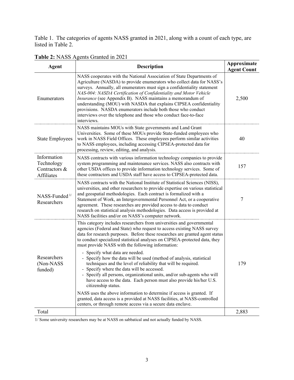Table 1. The categories of agents NASS granted in 2021, along with a count of each type, are listed in Table 2.

| <b>Agent</b>                                             | <b>Description</b>                                                                                                                                                                                                                                                                                                                                                                                                                                                                                                                                                                                                                                                                                                                                                                                                                                                                                                                                                                          | Approximate<br><b>Agent Count</b> |
|----------------------------------------------------------|---------------------------------------------------------------------------------------------------------------------------------------------------------------------------------------------------------------------------------------------------------------------------------------------------------------------------------------------------------------------------------------------------------------------------------------------------------------------------------------------------------------------------------------------------------------------------------------------------------------------------------------------------------------------------------------------------------------------------------------------------------------------------------------------------------------------------------------------------------------------------------------------------------------------------------------------------------------------------------------------|-----------------------------------|
| Enumerators                                              | NASS cooperates with the National Association of State Departments of<br>Agriculture (NASDA) to provide enumerators who collect data for NASS's<br>surveys. Annually, all enumerators must sign a confidentiality statement<br>NAS-004: NASDA Certification of Confidentiality and Motor Vehicle<br>Insurance (see Appendix B). NASS maintains a memorandum of<br>understanding (MOU) with NASDA that explains CIPSEA confidentiality<br>provisions. NASDA enumerators include both those who conduct<br>interviews over the telephone and those who conduct face-to-face<br>interviews.                                                                                                                                                                                                                                                                                                                                                                                                    | 2,500                             |
| <b>State Employees</b>                                   | NASS maintains MOUs with State governments and Land Grant<br>Universities. Some of these MOUs provide State-funded employees who<br>work in NASS Field Offices. These employees perform similar activities<br>to NASS employees, including accessing CIPSEA-protected data for<br>processing, review, editing, and analysis.                                                                                                                                                                                                                                                                                                                                                                                                                                                                                                                                                                                                                                                                | 40                                |
| Information<br>Technology<br>Contractors &<br>Affiliates | NASS contracts with various information technology companies to provide<br>system programming and maintenance services. NASS also contracts with<br>other USDA offices to provide information technology services. Some of<br>these contractors and USDA staff have access to CIPSEA-protected data.                                                                                                                                                                                                                                                                                                                                                                                                                                                                                                                                                                                                                                                                                        | 157                               |
| $NASS$ -Funded $1/$<br>Researchers                       | NASS contracts with the National Institute of Statistical Sciences (NISS),<br>universities, and other researchers to provide expertise on various statistical<br>and geospatial methodologies. Each contract is formalized with a<br>Statement of Work, an Intergovernmental Personnel Act, or a cooperative<br>agreement. These researches are provided access to data to conduct<br>research on statistical analysis methodologies. Data access is provided at<br>NASS facilities and/or on NASS's computer network.                                                                                                                                                                                                                                                                                                                                                                                                                                                                      | 7                                 |
| Researchers<br>(Non-NASS<br>funded)                      | This category includes researchers from universities and governmental<br>agencies (Federal and State) who request to access existing NASS survey<br>data for research purposes. Before these researches are granted agent status<br>to conduct specialized statistical analyses on CIPSEA-protected data, they<br>must provide NASS with the following information:<br>- Specify what data are needed.<br>- Specify how the data will be used (method of analysis, statistical<br>techniques and the level of reliability that will be required.<br>- Specify where the data will be accessed.<br>Specify all persons, organizational units, and/or sub-agents who will<br>have access to the data. Each person must also provide his/her U.S.<br>citizenship status.<br>NASS uses the above information to determine if access is granted. If<br>granted, data access is a provided at NASS facilities, at NASS-controlled<br>centers, or through remote access via a secure data enclave. | 179                               |
| Total                                                    |                                                                                                                                                                                                                                                                                                                                                                                                                                                                                                                                                                                                                                                                                                                                                                                                                                                                                                                                                                                             | 2,883                             |
|                                                          |                                                                                                                                                                                                                                                                                                                                                                                                                                                                                                                                                                                                                                                                                                                                                                                                                                                                                                                                                                                             |                                   |

**Table 2:** NASS Agents Granted in 2021

1/ Some university researchers may be at NASS on sabbatical and not actually funded by NASS.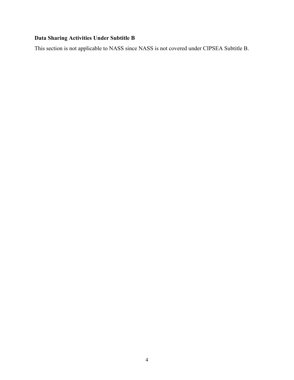## **Data Sharing Activities Under Subtitle B**

This section is not applicable to NASS since NASS is not covered under CIPSEA Subtitle B.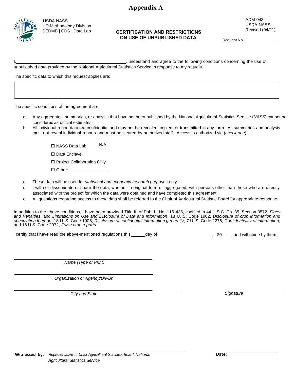## **Appendix A**



USDA NASS HQ Methodology Division

## SEDMB | CDS | Data Lab **CERTIFICATION AND RESTRICTIONS ON USE OF UNPUBLISHED DATA**

ADM-043 USDA-NASS Revised (04*/*21)

Request No

I, state of the stand and agree to the following conditions concerning the use of unpublished data provided by the National Agricultural Statistics Service in response to my request.

The specific data to which this request applies are:

The specific conditions of the agreement are:

- a. Any aggregates, summaries, or analysis that have not been published by the National Agricultural Statistics Service (*NASS*) cannot be considered as official estimates.
- b. All individual report data are confidential and may not be revealed, copied, or transmitted in any form. All summaries and analysis must not reveal individual reports and must be cleared by authorized staff. Access is authorized via (*check one*):

 $\Box$  NASS Data Lab N/A

□ Data Enclave

□ Project Collaboration Only

□ Other:

- c. These data will be used for *statistical and economic research purposes* only.
- d. I will not disseminate or share the data, whether in original form or aggregated, with persons other than those who are directly associated with the project for which the data were obtained and have completed this agreement.
- e. All questions regarding access to these data shall be referred to the Chair of Agricultural Statistic Board for appropriate response.

In addition to the above conditions, I have been provided Title III of Pub. L. No. 115-435, codified in 44 U.S.C. Ch. 35, Section 3572, *Fines and Penalties*, and *Limitations on Use and Disclosure of Data and Information*; 18 U. S. Code 1902, *Disclosure of crop information and speculation thereon*; 18 U. S. Code 1905, *Disclosure of confidential information generally*; 7 U. S. Code 2276, *Confidentiality of information*; and 18 U.S. Code 2072, *False crop reports.*

I certify that I have read the above-mentioned regulations this equal to day of entity that is and will abide by them.

*Name (Type or Print)*

*Organization or Agency/Div/Br.* 

*City and State* Signature **Signature Signature Signature Signature Signature**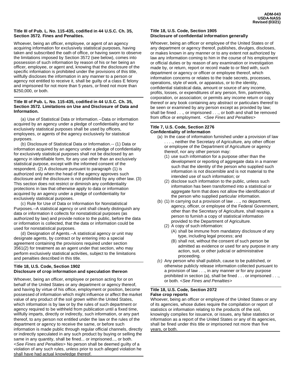#### **Title III of Pub. L. No. 115-435, codified in 44 U.S.C. Ch. 35, Section 3572. Fines and Penalties.**

Whoever, being an officer, employee, or agent of an agency acquiring information for exclusively statistical purposes, having taken and subscribed the oath of office, or having sworn to observe the limitations imposed by Section 3572 (see below), comes into possession of such information by reason of his or her being an officer, employee, or agent and, knowing that the disclosure of the specific information is prohibited under the provisions of this title, willfully discloses the information in any manner to a person or agency not entitled to receive it, shall be guilty of a class E felony and imprisoned for not more than 5 years, or fined not more than \$250,000, or both.

#### **Title III of Pub. L. No. 115-435, codified in 44 U.S.C. Ch. 35, Section 3572. Limitations on Use and Disclosure of Data and Information.**

(a) Use of Statistical Data or Information.--Data or information acquired by an agency under a pledge of confidentiality and for exclusively statistical purposes shall be used by officers, employees, or agents of the agency exclusively for statistical purposes.

(b) Disclosure of Statistical Data or Information.-- (1) Data or information acquired by an agency under a pledge of confidentiality for exclusively statistical purposes shall not be disclosed by an agency in identifiable form, for any use other than an exclusively statistical purpose, except with the informed consent of the respondent. (2) A disclosure pursuant to paragraph (1) is authorized only when the head of the agency approves such disclosure and the disclosure is not prohibited by any other law. (3) This section does not restrict or diminish any confidentiality protections in law that otherwise apply to data or information acquired by an agency under a pledge of confidentiality for exclusively statistical purposes.

(c) Rule for Use of Data or Information for Nonstatistical Purposes.--A statistical agency or unit shall clearly distinguish any data or information it collects for nonstatistical purposes (as authorized by law) and provide notice to the public, before the data or information is collected, that the data or information could be used for nonstatistical purposes.

(d) Designation of Agents.--A statistical agency or unit may designate agents, by contract or by entering into a special agreement containing the provisions required under section 3561(2) for treatment as an agent under that section, who may perform exclusively statistical activities, subject to the limitations and penalties described in this title.

#### **Title 18, U.S. Code, Section 1902 Disclosure of crop information and speculation thereon**

Whoever, being an officer, employee or person acting for or on behalf of the United States or any department or agency thereof, and having by virtue of his office, employment or position, become possessed of information which might influence or affect the market value of any product of the soil grown within the United States, which information is by law or by the rules of such department or agency required to be withheld from publication until a fixed time, willfully imparts, directly or indirectly, such information, or any part thereof, to any person not entitled under the law or the rules of the department or agency to receive the same, or before such information is made public through regular official channels, directly or indirectly speculated in any such product by buying or selling the same in any quantity, shall be fined... or imprisoned..., or both. *<See Fines and Penalties>* No person shall be deemed guilty of a violation of any such rules, unless prior to such alleged violation he shall have had actual knowledge thereof.

#### **Title 18, U.S. Code, Section 1905 Disclosure of confidential information generally**

Whoever, being an officer or employee of the United States or of any department or agency thereof, publishes, divulges, discloses, or makes known in any manner or to any extent not authorized by law any information coming to him in the course of his employment or official duties or by reason of any examination or investigation made by, or return, report or record made to or filed with, such department or agency or officer or employee thereof, which information concerns or relates to the trade secrets, processes, operations, style of work, or apparatus, or to the identity, confidential statistical data, amount or source of any income, profits, losses, or expenditures of any person, firm, partnership, corporation, or association; or permits any income return or copy thereof or any book containing any abstract or particulars thereof to be seen or examined by any person except as provided by law; shall be fined . . ., or imprisoned . . ., or both and shall be removed from office or employment. *<See Fines and Penalties>*

#### **Title 7, U.S. Code, Section 2276 Confidentiality of information**

- (a) In the case of information furnished under a provision of law ...., neither the Secretary of Agriculture, any other officer or employee of the Department of Agriculture or agency thereof, nor any other person may:
	- (1) use such information for a purpose other than the development or reporting of aggregate data in a manner such that the identity of the person who supplied such information is not discernible and is not material to the intended use of such information; or
	- (2) disclose such information to the public, unless such information has been transformed into a statistical or aggregate form that does not allow the identification of the person who supplied particular information.
- (b) (1) In carrying out a provision of law . . ., no department, agency, officer, or employee of the Federal Government, other than the Secretary of Agriculture, shall require a person to furnish a copy of statistical information provided to the Department of Agriculture.
	- (2) A copy of such information:
		- (A) shall be immune from mandatory disclosure of any type, including legal process; and
		- (B) shall not, without the consent of such person be admitted as evidence or used for any purpose in any action, suit, or other judicial or administrative proceeding.
- *(c)* Any person who shall publish, cause to be published, or otherwise publicly release information collected pursuant to a provision of law . . ., in any manner or for any purpose prohibited in section (a), shall be fined . . . or imprisoned . . ., or both. *<See Fines and Penalties>*

#### **Title 18, U.S. Code, Section 2072 False crop reports**

Whoever, being an officer or employee of the United States or any of its agencies, whose duties require the compilation or report of statistics or information relating to the products of the soil, knowingly compiles for issuance, or issues, any false statistics or information as a report of the United States or any of its agencies, shall be fined under this title or imprisoned not more than five years, or both.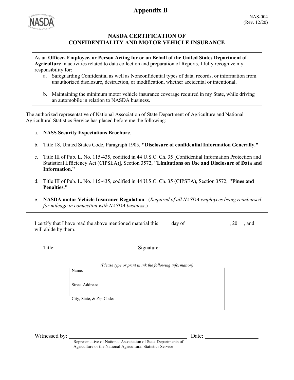## **Appendix B**



## NASDA CERTIFICATION OF CONFIDENTIALITY AND MOTOR VEHICLE INSURANCE

As an Officer, Employee, or Person Acting for or on Behalf of the United States Department of Agriculture in activities related to data collection and preparation of Reports, I fully recognize my responsibility for:

- a. Safeguarding Confidential as well as Nonconfidential types of data, records, or information from unauthorized disclosure, destruction, or modification, whether accidental or intentional.
- b. Maintaining the minimum motor vehicle insurance coverage required in my State, while driving an automobile in relation to NASDA business.

The authorized representative of National Association of State Department of Agriculture and National Agricultural Statistics Service has placed before me the following:

## a. NASS Security Expectations Brochure.

- b. Title 18, United States Code, Paragraph 1905, "Disclosure of confidential Information Generally."
- c. Title III of Pub. L. No. 115-435, codified in 44 U.S.C. Ch. 35 [Confidential Information Protection and Statistical Efficiency Act (CIPSEA)], Section 3572, "Limitations on Use and Disclosure of Data and Information."
- d. Title III of Pub. L. No. 115-435, codified in 44 U.S.C. Ch. 35 (CIPSEA), Section 3572, "Fines and Penalties."
- e. NASDA motor Vehicle Insurance Regulation. (Required of all NASDA employees being reimbursed for mileage in connection with NASDA business.)

I certify that I have read the above mentioned material this  $\_\_\_day$  of  $\_\_\_\_\_\_x, 20\_\_\_\_$  and will abide by them.

Title: Signature: Signature:

(Please type or print in ink the following information)

Name:

Street Address:

City, State, & Zip Code:

Witnessed by:  $Date:$ 

Representative of National Association of State Departments of Agriculture or the National Agricultural Statistics Service